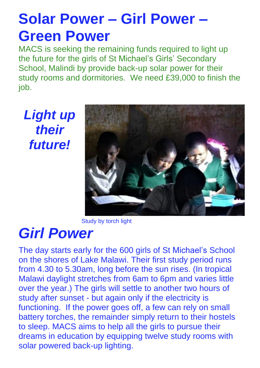# **Solar Power – Girl Power – Green Power**

MACS is seeking the remaining funds required to light up the future for the girls of St Michael's Girls' Secondary School, Malindi by provide back-up solar power for their study rooms and dormitories. We need £39,000 to finish the job.

*Light up their future!*



Study by torch light

### *Girl Power*

The day starts early for the 600 girls of St Michael's School on the shores of Lake Malawi. Their first study period runs from 4.30 to 5.30am, long before the sun rises. (In tropical Malawi daylight stretches from 6am to 6pm and varies little over the year.) The girls will settle to another two hours of study after sunset - but again only if the electricity is functioning. If the power goes off, a few can rely on small battery torches, the remainder simply return to their hostels to sleep. MACS aims to help all the girls to pursue their dreams in education by equipping twelve study rooms with solar powered back-up lighting.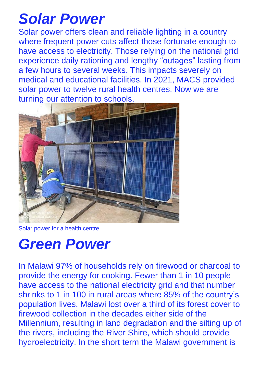# *Solar Power*

Solar power offers clean and reliable lighting in a country where frequent power cuts affect those fortunate enough to have access to electricity. Those relying on the national grid experience daily rationing and lengthy "outages" lasting from a few hours to several weeks. This impacts severely on medical and educational facilities. In 2021, MACS provided solar power to twelve rural health centres. Now we are turning our attention to schools.



Solar power for a health centre

## *Green Power*

In Malawi 97% of households rely on firewood or charcoal to provide the energy for cooking. Fewer than 1 in 10 people have access to the national electricity grid and that number shrinks to 1 in 100 in rural areas where 85% of the country's population lives. Malawi lost over a third of its forest cover to firewood collection in the decades either side of the Millennium, resulting in land degradation and the silting up of the rivers, including the River Shire, which should provide hydroelectricity. In the short term the Malawi government is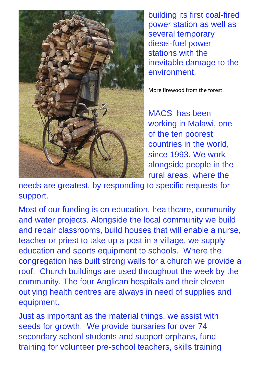

building its first coal-fired power station as well as several temporary diesel-fuel power stations with the inevitable damage to the environment.

More firewood from the forest.

MACS has been working in Malawi, one of the ten poorest countries in the world, since 1993. We work alongside people in the rural areas, where the

needs are greatest, by responding to specific requests for support.

Most of our funding is on education, healthcare, community and water projects. Alongside the local community we build and repair classrooms, build houses that will enable a nurse, teacher or priest to take up a post in a village, we supply education and sports equipment to schools. Where the congregation has built strong walls for a church we provide a roof. Church buildings are used throughout the week by the community. The four Anglican hospitals and their eleven outlying health centres are always in need of supplies and equipment.

Just as important as the material things, we assist with seeds for growth. We provide bursaries for over 74 secondary school students and support orphans, fund training for volunteer pre-school teachers, skills training